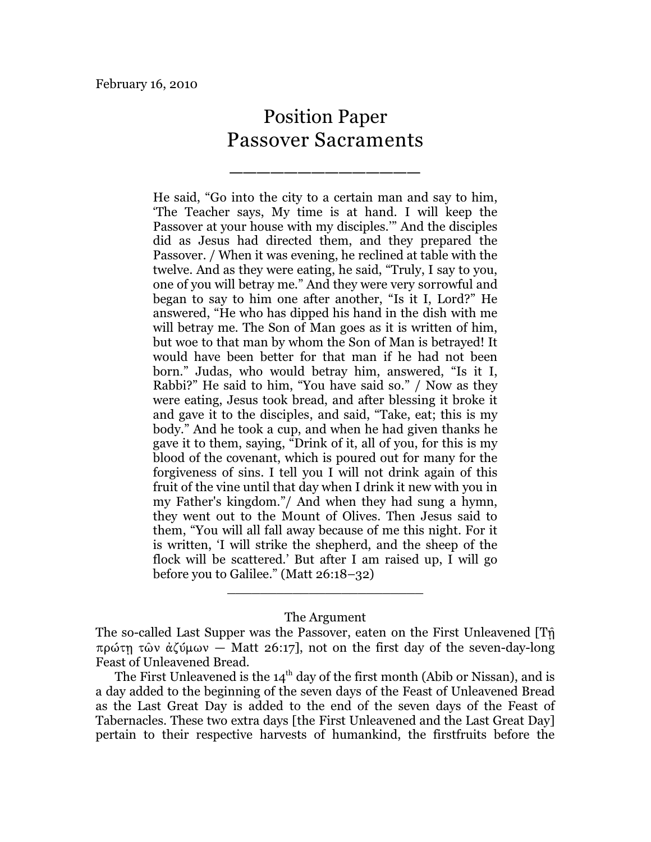## Position Paper Passover Sacraments

\_\_\_\_\_\_\_\_\_\_\_\_\_\_

 He said, "Go into the city to a certain man and say to him, 'The Teacher says, My time is at hand. I will keep the answered, "He who has dipped his hand in the dish with me Rabbi?" He said to him, "You have said so." / Now as they Passover at your house with my disciples.'" And the disciples did as Jesus had directed them, and they prepared the Passover. / When it was evening, he reclined at table with the twelve. And as they were eating, he said, "Truly, I say to you, one of you will betray me." And they were very sorrowful and began to say to him one after another, "Is it I, Lord?" He will betray me. The Son of Man goes as it is written of him, but woe to that man by whom the Son of Man is betrayed! It would have been better for that man if he had not been born." Judas, who would betray him, answered, "Is it I, were eating, Jesus took bread, and after blessing it broke it and gave it to the disciples, and said, "Take, eat; this is my body." And he took a cup, and when he had given thanks he gave it to them, saying, "Drink of it, all of you, for this is my blood of the covenant, which is poured out for many for the forgiveness of sins. I tell you I will not drink again of this fruit of the vine until that day when I drink it new with you in my Father's kingdom."/ And when they had sung a hymn, they went out to the Mount of Olives. Then Jesus said to them, "You will all fall away because of me this night. For it is written, 'I will strike the shepherd, and the sheep of the flock will be scattered.' But after I am raised up, I will go before you to Galilee." (Matt 26:18–32)

## The Argument

\_\_\_\_\_\_\_\_\_\_\_\_\_\_\_\_\_\_\_\_\_\_\_\_

 a day added to the beginning of the seven days of the Feast of Unleavened Bread The First Unleavened is the  $14<sup>th</sup>$  day of the first month (Abib or Nissan), and is as the Last Great Day is added to the end of the seven days of the Feast of Tabernacles. These two extra days [the First Unleavened and the Last Great Day] pertain to their respective harvests of humankind, the firstfruits before the

πρώτη τῶν ἀζύμων – Matt 26:17], not on the first day of the seven-day-long The so-called Last Supper was the Passover, eaten on the First Unleavened [Tñ Feast of Unleavened Bread.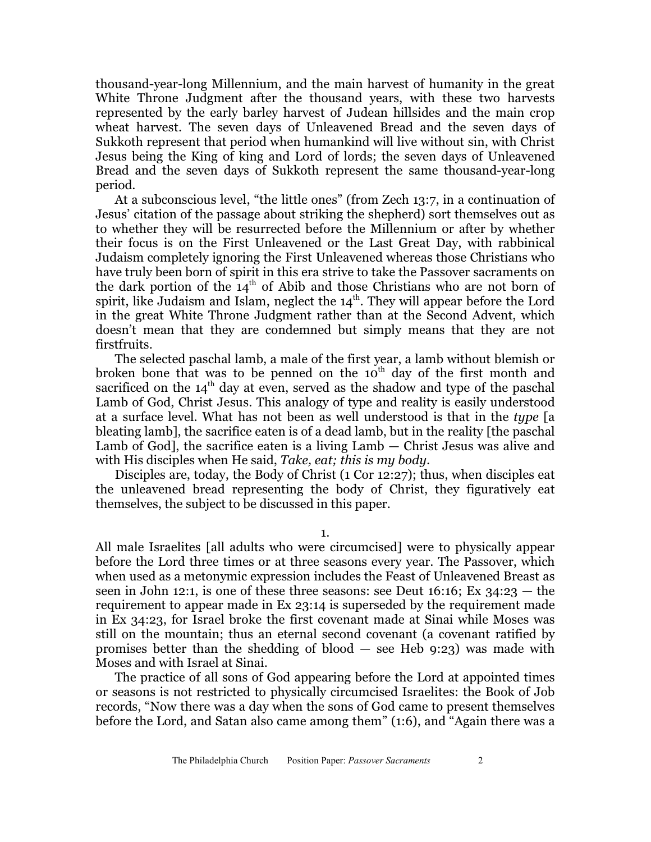thousand-year-long Millennium, and the main harvest of humanity in the great White Throne Judgment after the thousand years, with these two harvests represented by the early barley harvest of Judean hillsides and the main crop wheat harvest. The seven days of Unleavened Bread and the seven days of Sukkoth represent that period when humankind will live without sin, with Christ Jesus being the King of king and Lord of lords; the seven days of Unleavened Bread and the seven days of Sukkoth represent the same thousand-year-long period.

the dark portion of the  $14<sup>th</sup>$  of Abib and those Christians who are not born of At a subconscious level, "the little ones" (from Zech 13:7, in a continuation of Jesus' citation of the passage about striking the shepherd) sort themselves out as to whether they will be resurrected before the Millennium or after by whether their focus is on the First Unleavened or the Last Great Day, with rabbinical Judaism completely ignoring the First Unleavened whereas those Christians who have truly been born of spirit in this era strive to take the Passover sacraments on spirit, like Judaism and Islam, neglect the  $14<sup>th</sup>$ . They will appear before the Lord in the great White Throne Judgment rather than at the Second Advent, which doesn't mean that they are condemned but simply means that they are not firstfruits.

 at a surface level. What has not been as well understood is that in the *type* [a The selected paschal lamb, a male of the first year, a lamb without blemish or broken bone that was to be penned on the  $10<sup>th</sup>$  day of the first month and sacrificed on the  $14<sup>th</sup>$  day at even, served as the shadow and type of the paschal Lamb of God, Christ Jesus. This analogy of type and reality is easily understood bleating lamb], the sacrifice eaten is of a dead lamb, but in the reality [the paschal Lamb of God], the sacrifice eaten is a living Lamb — Christ Jesus was alive and with His disciples when He said, *Take, eat; this is my body*.

Disciples are, today, the Body of Christ (1 Cor 12:27); thus, when disciples eat the unleavened bread representing the body of Christ, they figuratively eat themselves, the subject to be discussed in this paper.

1.

All male Israelites [all adults who were circumcised] were to physically appear before the Lord three times or at three seasons every year. The Passover, which when used as a metonymic expression includes the Feast of Unleavened Breast as seen in John 12:1, is one of these three seasons: see Deut 16:16; Ex  $34:23$  – the requirement to appear made in Ex 23:14 is superseded by the requirement made in Ex 34:23, for Israel broke the first covenant made at Sinai while Moses was still on the mountain; thus an eternal second covenant (a covenant ratified by promises better than the shedding of blood — see Heb 9:23) was made with Moses and with Israel at Sinai.

The practice of all sons of God appearing before the Lord at appointed times or seasons is not restricted to physically circumcised Israelites: the Book of Job records, "Now there was a day when the sons of God came to present themselves before the Lord, and Satan also came among them" (1:6), and "Again there was a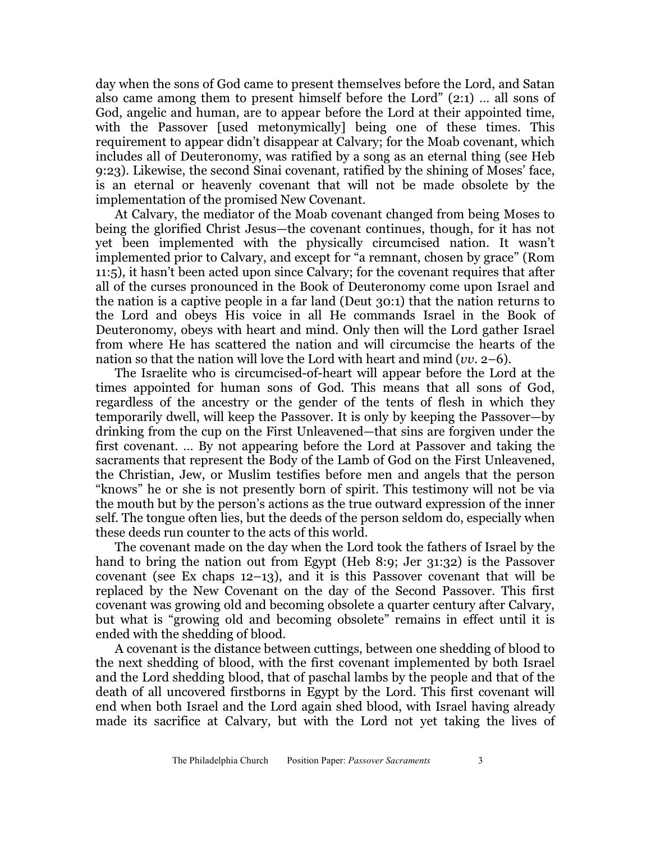includes all of Deuteronomy, was ratified by a song as an eternal thing (see Heb day when the sons of God came to present themselves before the Lord, and Satan also came among them to present himself before the Lord" (2:1) … all sons of God, angelic and human, are to appear before the Lord at their appointed time, with the Passover [used metonymically] being one of these times. This requirement to appear didn't disappear at Calvary; for the Moab covenant, which 9:23). Likewise, the second Sinai covenant, ratified by the shining of Moses' face, is an eternal or heavenly covenant that will not be made obsolete by the implementation of the promised New Covenant.

 implemented prior to Calvary, and except for "a remnant, chosen by grace" (Rom At Calvary, the mediator of the Moab covenant changed from being Moses to being the glorified Christ Jesus—the covenant continues, though, for it has not yet been implemented with the physically circumcised nation. It wasn't 11:5), it hasn't been acted upon since Calvary; for the covenant requires that after all of the curses pronounced in the Book of Deuteronomy come upon Israel and the nation is a captive people in a far land (Deut 30:1) that the nation returns to the Lord and obeys His voice in all He commands Israel in the Book of Deuteronomy, obeys with heart and mind. Only then will the Lord gather Israel from where He has scattered the nation and will circumcise the hearts of the nation so that the nation will love the Lord with heart and mind (*vv*. 2–6).

 times appointed for human sons of God. This means that all sons of God, "knows" he or she is not presently born of spirit. This testimony will not be via The Israelite who is circumcised-of-heart will appear before the Lord at the regardless of the ancestry or the gender of the tents of flesh in which they temporarily dwell, will keep the Passover. It is only by keeping the Passover—by drinking from the cup on the First Unleavened—that sins are forgiven under the first covenant. … By not appearing before the Lord at Passover and taking the sacraments that represent the Body of the Lamb of God on the First Unleavened, the Christian, Jew, or Muslim testifies before men and angels that the person the mouth but by the person's actions as the true outward expression of the inner self. The tongue often lies, but the deeds of the person seldom do, especially when these deeds run counter to the acts of this world.

The covenant made on the day when the Lord took the fathers of Israel by the hand to bring the nation out from Egypt (Heb 8:9; Jer 31:32) is the Passover covenant (see Ex chaps  $12-13$ ), and it is this Passover covenant that will be replaced by the New Covenant on the day of the Second Passover. This first covenant was growing old and becoming obsolete a quarter century after Calvary, but what is "growing old and becoming obsolete" remains in effect until it is ended with the shedding of blood.

A covenant is the distance between cuttings, between one shedding of blood to the next shedding of blood, with the first covenant implemented by both Israel and the Lord shedding blood, that of paschal lambs by the people and that of the death of all uncovered firstborns in Egypt by the Lord. This first covenant will end when both Israel and the Lord again shed blood, with Israel having already made its sacrifice at Calvary, but with the Lord not yet taking the lives of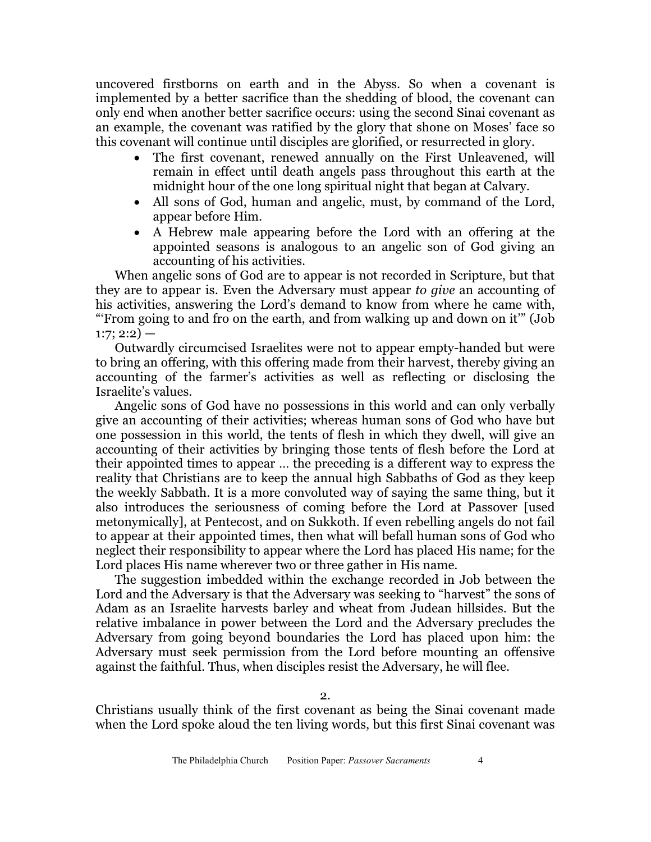implemented by a better sacrifice than the shedding of blood, the covenant can uncovered firstborns on earth and in the Abyss. So when a covenant is only end when another better sacrifice occurs: using the second Sinai covenant as an example, the covenant was ratified by the glory that shone on Moses' face so this covenant will continue until disciples are glorified, or resurrected in glory.

> The first covenant, renewed annually on the First Unleavened, will remain in effect until death angels pass throughout this earth at the midnight hour of the one long spiritual night that began at Calvary.

> All sons of God, human and angelic, must, by command of the Lord, appear before Him.

> A Hebrew male appearing before the Lord with an offering at the appointed seasons is analogous to an angelic son of God giving an accounting of his activities.

 they are to appear is. Even the Adversary must appear *to give* an accounting of his activities, answering the Lord's demand to know from where he came with, When angelic sons of God are to appear is not recorded in Scripture, but that "'From going to and fro on the earth, and from walking up and down on it'" (Job  $1:7; 2:2)$  –

 accounting of the farmer's activities as well as reflecting or disclosing the Outwardly circumcised Israelites were not to appear empty-handed but were to bring an offering, with this offering made from their harvest, thereby giving an Israelite's values.

 Angelic sons of God have no possessions in this world and can only verbally one possession in this world, the tents of flesh in which they dwell, will give an their appointed times to appear … the preceding is a different way to express the to appear at their appointed times, then what will befall human sons of God who give an accounting of their activities; whereas human sons of God who have but accounting of their activities by bringing those tents of flesh before the Lord at reality that Christians are to keep the annual high Sabbaths of God as they keep the weekly Sabbath. It is a more convoluted way of saying the same thing, but it also introduces the seriousness of coming before the Lord at Passover [used metonymically], at Pentecost, and on Sukkoth. If even rebelling angels do not fail neglect their responsibility to appear where the Lord has placed His name; for the Lord places His name wherever two or three gather in His name.

The suggestion imbedded within the exchange recorded in Job between the Lord and the Adversary is that the Adversary was seeking to "harvest" the sons of Adam as an Israelite harvests barley and wheat from Judean hillsides. But the relative imbalance in power between the Lord and the Adversary precludes the Adversary from going beyond boundaries the Lord has placed upon him: the Adversary must seek permission from the Lord before mounting an offensive against the faithful. Thus, when disciples resist the Adversary, he will flee.

2.

Christians usually think of the first covenant as being the Sinai covenant made when the Lord spoke aloud the ten living words, but this first Sinai covenant was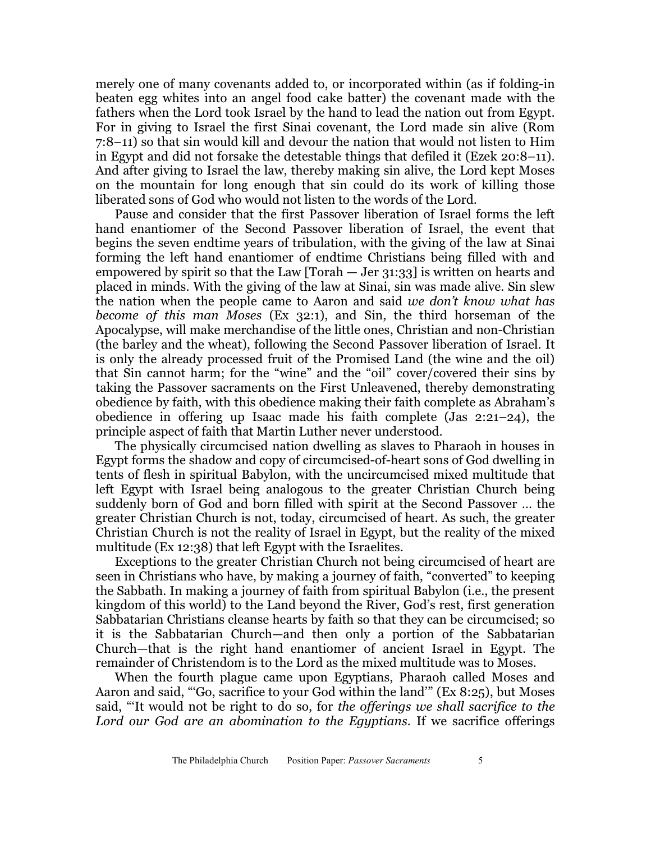merely one of many covenants added to, or incorporated within (as if folding-in beaten egg whites into an angel food cake batter) the covenant made with the fathers when the Lord took Israel by the hand to lead the nation out from Egypt. For in giving to Israel the first Sinai covenant, the Lord made sin alive (Rom 7:8–11) so that sin would kill and devour the nation that would not listen to Him in Egypt and did not forsake the detestable things that defiled it (Ezek 20:8–11). And after giving to Israel the law, thereby making sin alive, the Lord kept Moses on the mountain for long enough that sin could do its work of killing those liberated sons of God who would not listen to the words of the Lord.

 forming the left hand enantiomer of endtime Christians being filled with and Pause and consider that the first Passover liberation of Israel forms the left hand enantiomer of the Second Passover liberation of Israel, the event that begins the seven endtime years of tribulation, with the giving of the law at Sinai empowered by spirit so that the Law  $[Torah - Jer 31:33]$  is written on hearts and placed in minds. With the giving of the law at Sinai, sin was made alive. Sin slew the nation when the people came to Aaron and said *we don't know what has become of this man Moses* (Ex 32:1), and Sin, the third horseman of the Apocalypse, will make merchandise of the little ones, Christian and non-Christian (the barley and the wheat), following the Second Passover liberation of Israel. It is only the already processed fruit of the Promised Land (the wine and the oil) that Sin cannot harm; for the "wine" and the "oil" cover/covered their sins by taking the Passover sacraments on the First Unleavened, thereby demonstrating obedience by faith, with this obedience making their faith complete as Abraham's obedience in offering up Isaac made his faith complete (Jas 2:21–24), the principle aspect of faith that Martin Luther never understood.

The physically circumcised nation dwelling as slaves to Pharaoh in houses in Egypt forms the shadow and copy of circumcised-of-heart sons of God dwelling in tents of flesh in spiritual Babylon, with the uncircumcised mixed multitude that left Egypt with Israel being analogous to the greater Christian Church being suddenly born of God and born filled with spirit at the Second Passover … the greater Christian Church is not, today, circumcised of heart. As such, the greater Christian Church is not the reality of Israel in Egypt, but the reality of the mixed multitude (Ex 12:38) that left Egypt with the Israelites.

 Church—that is the right hand enantiomer of ancient Israel in Egypt. The Exceptions to the greater Christian Church not being circumcised of heart are seen in Christians who have, by making a journey of faith, "converted" to keeping the Sabbath. In making a journey of faith from spiritual Babylon (i.e., the present kingdom of this world) to the Land beyond the River, God's rest, first generation Sabbatarian Christians cleanse hearts by faith so that they can be circumcised; so it is the Sabbatarian Church—and then only a portion of the Sabbatarian remainder of Christendom is to the Lord as the mixed multitude was to Moses.

When the fourth plague came upon Egyptians, Pharaoh called Moses and Aaron and said, "'Go, sacrifice to your God within the land'" (Ex 8:25), but Moses said, "'It would not be right to do so, for *the offerings we shall sacrifice to the Lord our God are an abomination to the Egyptians*. If we sacrifice offerings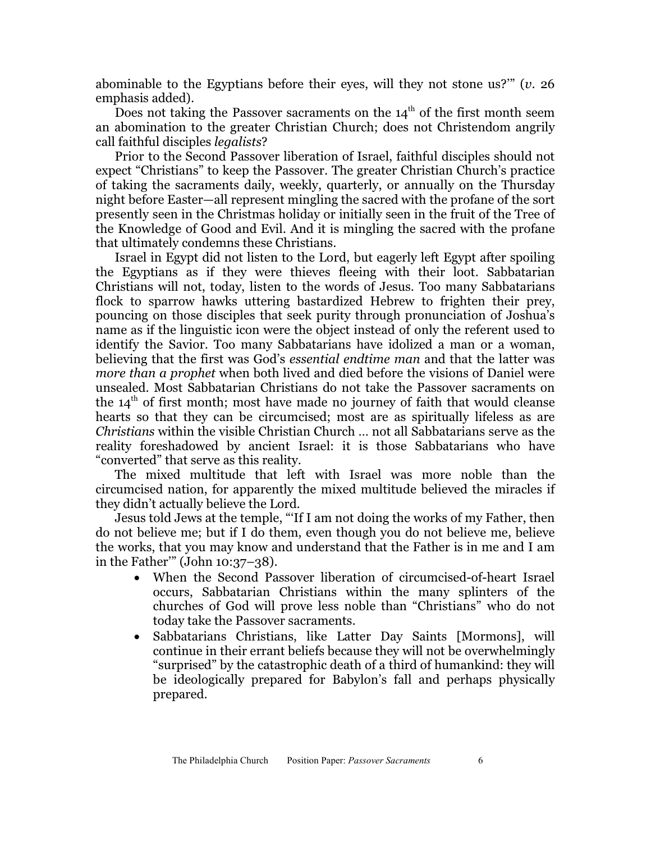abominable to the Egyptians before their eyes, will they not stone us?'" (*v*. 26 emphasis added).

Does not taking the Passover sacraments on the  $14<sup>th</sup>$  of the first month seem an abomination to the greater Christian Church; does not Christendom angrily call faithful disciples *legalists*?

Prior to the Second Passover liberation of Israel, faithful disciples should not expect "Christians" to keep the Passover. The greater Christian Church's practice of taking the sacraments daily, weekly, quarterly, or annually on the Thursday night before Easter—all represent mingling the sacred with the profane of the sort presently seen in the Christmas holiday or initially seen in the fruit of the Tree of the Knowledge of Good and Evil. And it is mingling the sacred with the profane that ultimately condemns these Christians.

Israel in Egypt did not listen to the Lord, but eagerly left Egypt after spoiling the Egyptians as if they were thieves fleeing with their loot. Sabbatarian Christians will not, today, listen to the words of Jesus. Too many Sabbatarians flock to sparrow hawks uttering bastardized Hebrew to frighten their prey, pouncing on those disciples that seek purity through pronunciation of Joshua's name as if the linguistic icon were the object instead of only the referent used to identify the Savior. Too many Sabbatarians have idolized a man or a woman, believing that the first was God's *essential endtime man* and that the latter was *more than a prophet* when both lived and died before the visions of Daniel were unsealed. Most Sabbatarian Christians do not take the Passover sacraments on the  $14<sup>th</sup>$  of first month; most have made no journey of faith that would cleanse hearts so that they can be circumcised; most are as spiritually lifeless as are *Christians* within the visible Christian Church … not all Sabbatarians serve as the reality foreshadowed by ancient Israel: it is those Sabbatarians who have "converted" that serve as this reality.

The mixed multitude that left with Israel was more noble than the circumcised nation, for apparently the mixed multitude believed the miracles if they didn't actually believe the Lord.

 Jesus told Jews at the temple, "'If I am not doing the works of my Father, then the works, that you may know and understand that the Father is in me and I am do not believe me; but if I do them, even though you do not believe me, believe in the Father'" (John 10:37–38).

> When the Second Passover liberation of circumcised-of-heart Israel occurs, Sabbatarian Christians within the many splinters of the churches of God will prove less noble than "Christians" who do not today take the Passover sacraments.

> continue in their errant beliefs because they will not be overwhelmingly Sabbatarians Christians, like Latter Day Saints [Mormons], will "surprised" by the catastrophic death of a third of humankind: they will be ideologically prepared for Babylon's fall and perhaps physically prepared.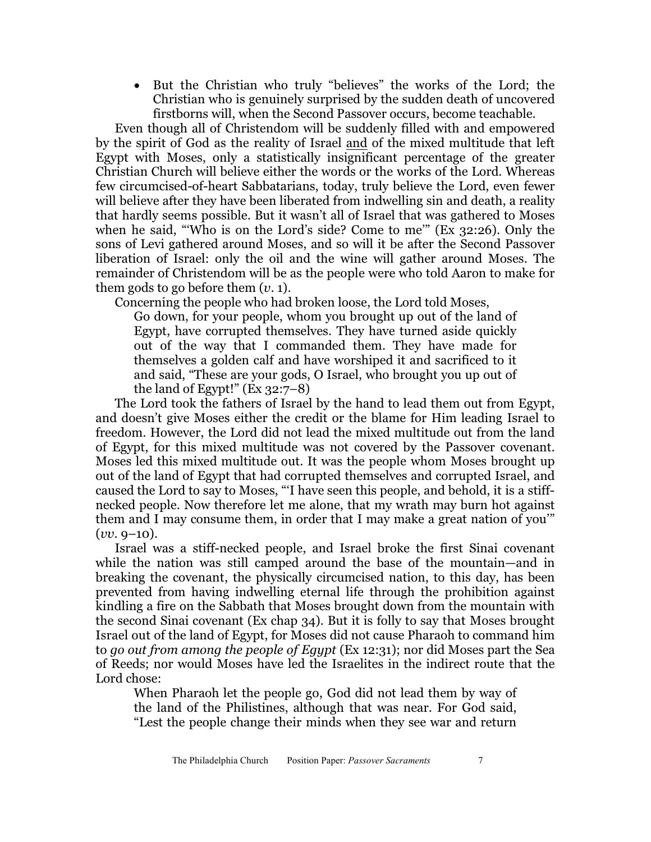But the Christian who truly "believes" the works of the Lord; the Christian who is genuinely surprised by the sudden death of uncovered firstborns will, when the Second Passover occurs, become teachable.

 when he said, "'Who is on the Lord's side? Come to me'" (Ex 32:26). Only the Even though all of Christendom will be suddenly filled with and empowered by the spirit of God as the reality of Israel and of the mixed multitude that left Egypt with Moses, only a statistically insignificant percentage of the greater Christian Church will believe either the words or the works of the Lord. Whereas few circumcised-of-heart Sabbatarians, today, truly believe the Lord, even fewer will believe after they have been liberated from indwelling sin and death, a reality that hardly seems possible. But it wasn't all of Israel that was gathered to Moses sons of Levi gathered around Moses, and so will it be after the Second Passover liberation of Israel: only the oil and the wine will gather around Moses. The remainder of Christendom will be as the people were who told Aaron to make for them gods to go before them (*v*. 1).

Concerning the people who had broken loose, the Lord told Moses,

Go down, for your people, whom you brought up out of the land of Egypt, have corrupted themselves. They have turned aside quickly out of the way that I commanded them. They have made for themselves a golden calf and have worshiped it and sacrificed to it and said, "These are your gods, O Israel, who brought you up out of the land of Egypt!"  $(Ex\ 32:7-8)$ 

 The Lord took the fathers of Israel by the hand to lead them out from Egypt, caused the Lord to say to Moses, "'I have seen this people, and behold, it is a stiffand doesn't give Moses either the credit or the blame for Him leading Israel to freedom. However, the Lord did not lead the mixed multitude out from the land of Egypt, for this mixed multitude was not covered by the Passover covenant. Moses led this mixed multitude out. It was the people whom Moses brought up out of the land of Egypt that had corrupted themselves and corrupted Israel, and necked people. Now therefore let me alone, that my wrath may burn hot against them and I may consume them, in order that I may make a great nation of you'" (*vv*. 9–10).

 kindling a fire on the Sabbath that Moses brought down from the mountain with Israel out of the land of Egypt, for Moses did not cause Pharaoh to command him Israel was a stiff-necked people, and Israel broke the first Sinai covenant while the nation was still camped around the base of the mountain—and in breaking the covenant, the physically circumcised nation, to this day, has been prevented from having indwelling eternal life through the prohibition against the second Sinai covenant (Ex chap 34). But it is folly to say that Moses brought to *go out from among the people of Egypt* (Ex 12:31); nor did Moses part the Sea of Reeds; nor would Moses have led the Israelites in the indirect route that the Lord chose:

When Pharaoh let the people go, God did not lead them by way of the land of the Philistines, although that was near. For God said, "Lest the people change their minds when they see war and return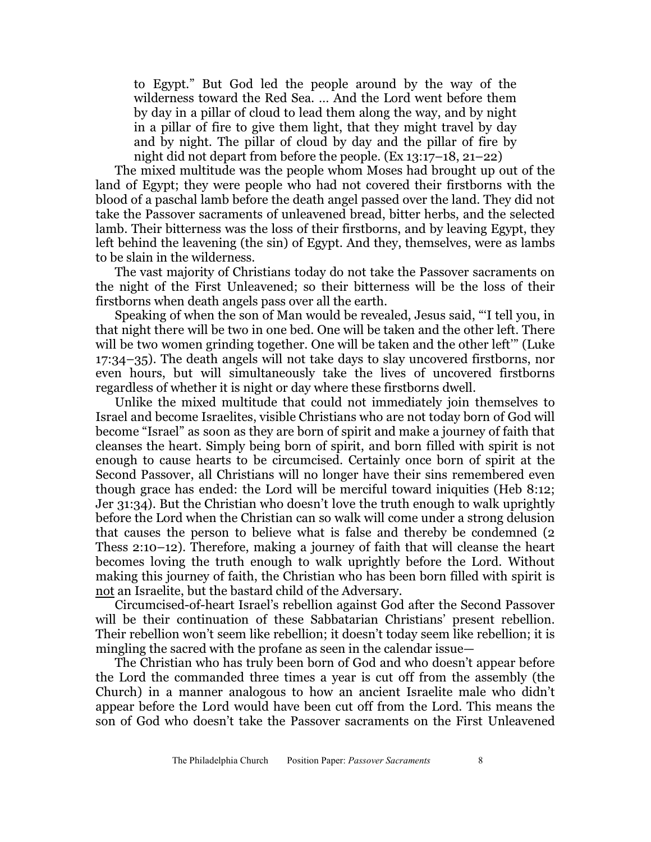wilderness toward the Red Sea. … And the Lord went before them to Egypt." But God led the people around by the way of the by day in a pillar of cloud to lead them along the way, and by night in a pillar of fire to give them light, that they might travel by day and by night. The pillar of cloud by day and the pillar of fire by night did not depart from before the people. (Ex 13:17–18, 21–22)

The mixed multitude was the people whom Moses had brought up out of the land of Egypt; they were people who had not covered their firstborns with the blood of a paschal lamb before the death angel passed over the land. They did not take the Passover sacraments of unleavened bread, bitter herbs, and the selected lamb. Their bitterness was the loss of their firstborns, and by leaving Egypt, they left behind the leavening (the sin) of Egypt. And they, themselves, were as lambs to be slain in the wilderness.

The vast majority of Christians today do not take the Passover sacraments on the night of the First Unleavened; so their bitterness will be the loss of their firstborns when death angels pass over all the earth.

Speaking of when the son of Man would be revealed, Jesus said, "'I tell you, in that night there will be two in one bed. One will be taken and the other left. There will be two women grinding together. One will be taken and the other left" (Luke 17:34–35). The death angels will not take days to slay uncovered firstborns, nor even hours, but will simultaneously take the lives of uncovered firstborns regardless of whether it is night or day where these firstborns dwell.

 Israel and become Israelites, visible Christians who are not today born of God will become "Israel" as soon as they are born of spirit and make a journey of faith that Unlike the mixed multitude that could not immediately join themselves to cleanses the heart. Simply being born of spirit, and born filled with spirit is not enough to cause hearts to be circumcised. Certainly once born of spirit at the Second Passover, all Christians will no longer have their sins remembered even though grace has ended: the Lord will be merciful toward iniquities (Heb 8:12; Jer 31:34). But the Christian who doesn't love the truth enough to walk uprightly before the Lord when the Christian can so walk will come under a strong delusion that causes the person to believe what is false and thereby be condemned (2 Thess 2:10–12). Therefore, making a journey of faith that will cleanse the heart becomes loving the truth enough to walk uprightly before the Lord. Without making this journey of faith, the Christian who has been born filled with spirit is not an Israelite, but the bastard child of the Adversary.

 will be their continuation of these Sabbatarian Christians' present rebellion. Circumcised-of-heart Israel's rebellion against God after the Second Passover Their rebellion won't seem like rebellion; it doesn't today seem like rebellion; it is mingling the sacred with the profane as seen in the calendar issue—

The Christian who has truly been born of God and who doesn't appear before the Lord the commanded three times a year is cut off from the assembly (the Church) in a manner analogous to how an ancient Israelite male who didn't appear before the Lord would have been cut off from the Lord. This means the son of God who doesn't take the Passover sacraments on the First Unleavened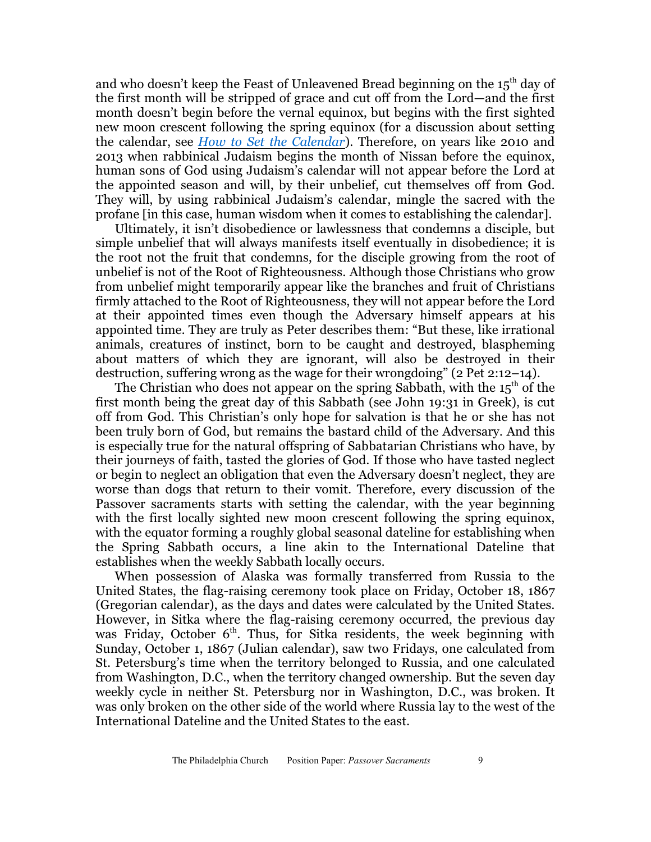human sons of God using Judaism's calendar will not appear before the Lord at and who doesn't keep the Feast of Unleavened Bread beginning on the  $15<sup>th</sup>$  day of the first month will be stripped of grace and cut off from the Lord—and the first month doesn't begin before the vernal equinox, but begins with the first sighted new moon crescent following the spring equinox (for a discussion about setting the calendar, see *[How to Set the Calendar](http://thephiladelphiachurch.org/how-to-set-the-calendar.pdf)*). Therefore, on years like 2010 and 2013 when rabbinical Judaism begins the month of Nissan before the equinox, the appointed season and will, by their unbelief, cut themselves off from God. They will, by using rabbinical Judaism's calendar, mingle the sacred with the profane [in this case, human wisdom when it comes to establishing the calendar].

 Ultimately, it isn't disobedience or lawlessness that condemns a disciple, but simple unbelief that will always manifests itself eventually in disobedience; it is the root not the fruit that condemns, for the disciple growing from the root of unbelief is not of the Root of Righteousness. Although those Christians who grow from unbelief might temporarily appear like the branches and fruit of Christians firmly attached to the Root of Righteousness, they will not appear before the Lord at their appointed times even though the Adversary himself appears at his appointed time. They are truly as Peter describes them: "But these, like irrational animals, creatures of instinct, born to be caught and destroyed, blaspheming about matters of which they are ignorant, will also be destroyed in their destruction, suffering wrong as the wage for their wrongdoing" (2 Pet 2:12–14).

The Christian who does not appear on the spring Sabbath, with the  $15<sup>th</sup>$  of the first month being the great day of this Sabbath (see John 19:31 in Greek), is cut off from God. This Christian's only hope for salvation is that he or she has not been truly born of God, but remains the bastard child of the Adversary. And this is especially true for the natural offspring of Sabbatarian Christians who have, by their journeys of faith, tasted the glories of God. If those who have tasted neglect or begin to neglect an obligation that even the Adversary doesn't neglect, they are worse than dogs that return to their vomit. Therefore, every discussion of the Passover sacraments starts with setting the calendar, with the year beginning with the first locally sighted new moon crescent following the spring equinox, with the equator forming a roughly global seasonal dateline for establishing when the Spring Sabbath occurs, a line akin to the International Dateline that establishes when the weekly Sabbath locally occurs.

When possession of Alaska was formally transferred from Russia to the United States, the flag-raising ceremony took place on Friday, October 18, 1867 (Gregorian calendar), as the days and dates were calculated by the United States. However, in Sitka where the flag-raising ceremony occurred, the previous day was Friday, October 6<sup>th</sup>. Thus, for Sitka residents, the week beginning with Sunday, October 1, 1867 (Julian calendar), saw two Fridays, one calculated from St. Petersburg's time when the territory belonged to Russia, and one calculated from Washington, D.C., when the territory changed ownership. But the seven day weekly cycle in neither St. Petersburg nor in Washington, D.C., was broken. It was only broken on the other side of the world where Russia lay to the west of the International Dateline and the United States to the east.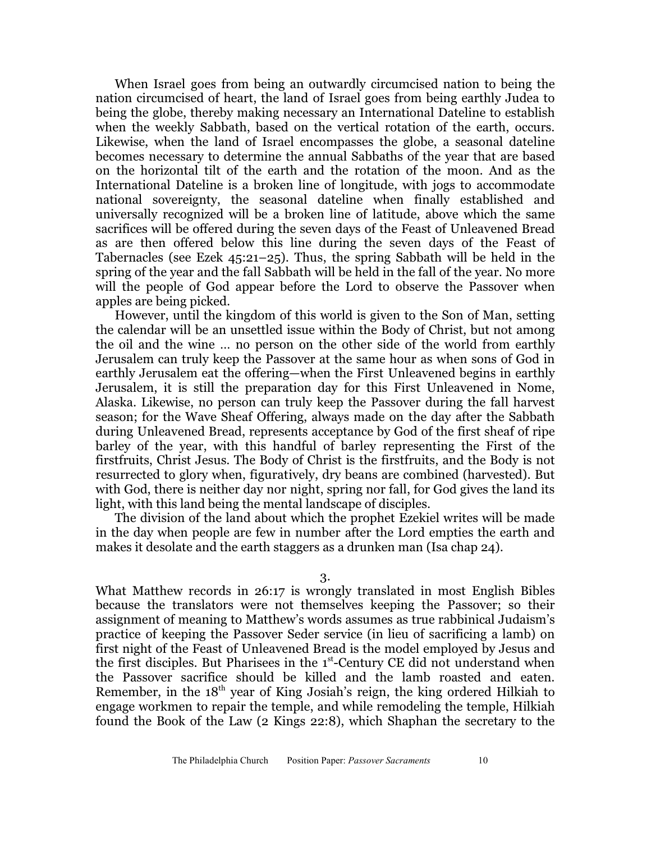When Israel goes from being an outwardly circumcised nation to being the on the horizontal tilt of the earth and the rotation of the moon. And as the Tabernacles (see Ezek 45:21–25). Thus, the spring Sabbath will be held in the nation circumcised of heart, the land of Israel goes from being earthly Judea to being the globe, thereby making necessary an International Dateline to establish when the weekly Sabbath, based on the vertical rotation of the earth, occurs. Likewise, when the land of Israel encompasses the globe, a seasonal dateline becomes necessary to determine the annual Sabbaths of the year that are based International Dateline is a broken line of longitude, with jogs to accommodate national sovereignty, the seasonal dateline when finally established and universally recognized will be a broken line of latitude, above which the same sacrifices will be offered during the seven days of the Feast of Unleavened Bread as are then offered below this line during the seven days of the Feast of spring of the year and the fall Sabbath will be held in the fall of the year. No more will the people of God appear before the Lord to observe the Passover when apples are being picked.

However, until the kingdom of this world is given to the Son of Man, setting the calendar will be an unsettled issue within the Body of Christ, but not among the oil and the wine … no person on the other side of the world from earthly Jerusalem can truly keep the Passover at the same hour as when sons of God in earthly Jerusalem eat the offering—when the First Unleavened begins in earthly Jerusalem, it is still the preparation day for this First Unleavened in Nome, Alaska. Likewise, no person can truly keep the Passover during the fall harvest season; for the Wave Sheaf Offering, always made on the day after the Sabbath during Unleavened Bread, represents acceptance by God of the first sheaf of ripe barley of the year, with this handful of barley representing the First of the firstfruits, Christ Jesus. The Body of Christ is the firstfruits, and the Body is not resurrected to glory when, figuratively, dry beans are combined (harvested). But with God, there is neither day nor night, spring nor fall, for God gives the land its light, with this land being the mental landscape of disciples.

The division of the land about which the prophet Ezekiel writes will be made in the day when people are few in number after the Lord empties the earth and makes it desolate and the earth staggers as a drunken man (Isa chap 24).

3.

first night of the Feast of Unleavened Bread is the model employed by Jesus and What Matthew records in 26:17 is wrongly translated in most English Bibles because the translators were not themselves keeping the Passover; so their assignment of meaning to Matthew's words assumes as true rabbinical Judaism's practice of keeping the Passover Seder service (in lieu of sacrificing a lamb) on the first disciples. But Pharisees in the  $1<sup>st</sup>$ -Century CE did not understand when the Passover sacrifice should be killed and the lamb roasted and eaten. Remember, in the  $18<sup>th</sup>$  year of King Josiah's reign, the king ordered Hilkiah to engage workmen to repair the temple, and while remodeling the temple, Hilkiah found the Book of the Law (2 Kings 22:8), which Shaphan the secretary to the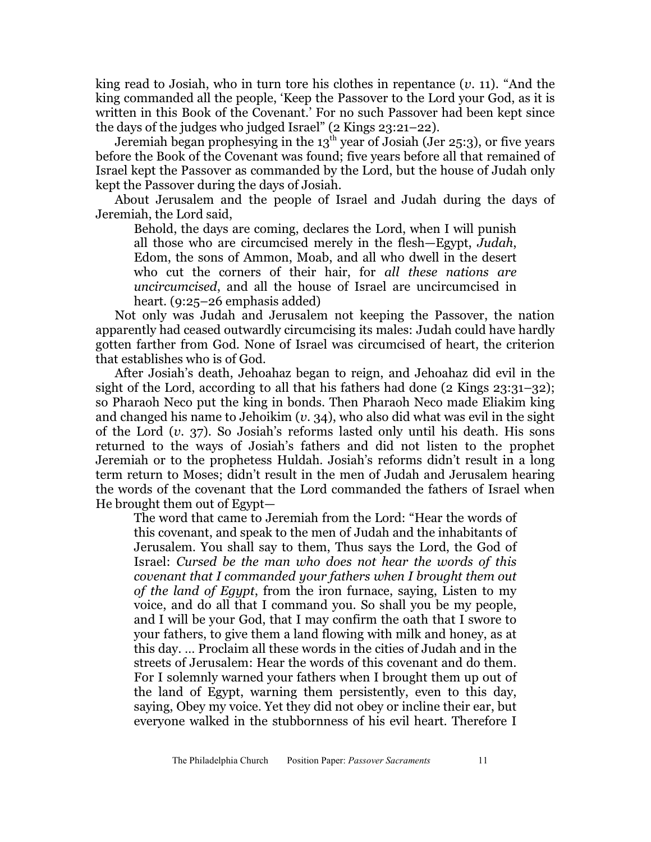king commanded all the people, 'Keep the Passover to the Lord your God, as it is king read to Josiah, who in turn tore his clothes in repentance (*v*. 11). "And the written in this Book of the Covenant.' For no such Passover had been kept since the days of the judges who judged Israel" (2 Kings 23:21–22).

Jeremiah began prophesying in the 13<sup>th</sup> year of Josiah (Jer 25:3), or five years before the Book of the Covenant was found; five years before all that remained of Israel kept the Passover as commanded by the Lord, but the house of Judah only kept the Passover during the days of Josiah.

About Jerusalem and the people of Israel and Judah during the days of Jeremiah, the Lord said,

Behold, the days are coming, declares the Lord, when I will punish all those who are circumcised merely in the flesh—Egypt, *Judah*, Edom, the sons of Ammon, Moab, and all who dwell in the desert who cut the corners of their hair, for *all these nations are uncircumcised*, and all the house of Israel are uncircumcised in heart. (9:25–26 emphasis added)

Not only was Judah and Jerusalem not keeping the Passover, the nation apparently had ceased outwardly circumcising its males: Judah could have hardly gotten farther from God. None of Israel was circumcised of heart, the criterion that establishes who is of God.

 returned to the ways of Josiah's fathers and did not listen to the prophet After Josiah's death, Jehoahaz began to reign, and Jehoahaz did evil in the sight of the Lord, according to all that his fathers had done (2 Kings  $23:31-32$ ); so Pharaoh Neco put the king in bonds. Then Pharaoh Neco made Eliakim king and changed his name to Jehoikim (*v*. 34), who also did what was evil in the sight of the Lord (*v*. 37). So Josiah's reforms lasted only until his death. His sons Jeremiah or to the prophetess Huldah. Josiah's reforms didn't result in a long term return to Moses; didn't result in the men of Judah and Jerusalem hearing the words of the covenant that the Lord commanded the fathers of Israel when He brought them out of Egypt—

 Jerusalem. You shall say to them, Thus says the Lord, the God of *of the land of Egypt*, from the iron furnace, saying, Listen to my For I solemnly warned your fathers when I brought them up out of The word that came to Jeremiah from the Lord: "Hear the words of this covenant, and speak to the men of Judah and the inhabitants of Israel: *Cursed be the man who does not hear the words of this covenant that I commanded your fathers when I brought them out*  voice, and do all that I command you. So shall you be my people, and I will be your God, that I may confirm the oath that I swore to your fathers, to give them a land flowing with milk and honey, as at this day. … Proclaim all these words in the cities of Judah and in the streets of Jerusalem: Hear the words of this covenant and do them. the land of Egypt, warning them persistently, even to this day, saying, Obey my voice. Yet they did not obey or incline their ear, but everyone walked in the stubbornness of his evil heart. Therefore I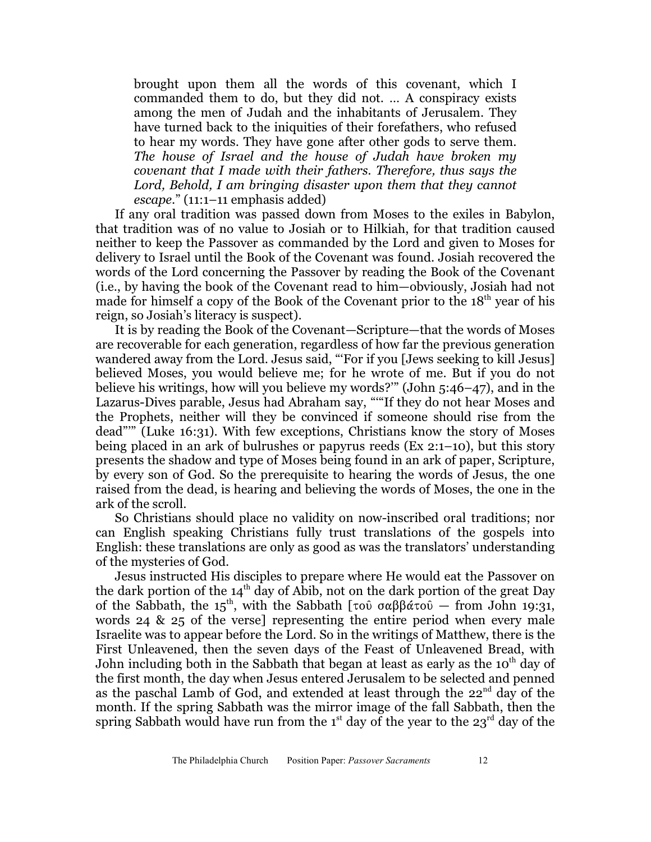brought upon them all the words of this covenant, which I commanded them to do, but they did not. … A conspiracy exists among the men of Judah and the inhabitants of Jerusalem. They have turned back to the iniquities of their forefathers, who refused to hear my words. They have gone after other gods to serve them. *The house of Israel and the house of Judah have broken my covenant that I made with their fathers. Therefore, thus says the Lord, Behold, I am bringing disaster upon them that they cannot escape*." (11:1–11 emphasis added)

 words of the Lord concerning the Passover by reading the Book of the Covenant If any oral tradition was passed down from Moses to the exiles in Babylon, that tradition was of no value to Josiah or to Hilkiah, for that tradition caused neither to keep the Passover as commanded by the Lord and given to Moses for delivery to Israel until the Book of the Covenant was found. Josiah recovered the (i.e., by having the book of the Covenant read to him—obviously, Josiah had not made for himself a copy of the Book of the Covenant prior to the  $18<sup>th</sup>$  year of his reign, so Josiah's literacy is suspect).

It is by reading the Book of the Covenant—Scripture—that the words of Moses are recoverable for each generation, regardless of how far the previous generation wandered away from the Lord. Jesus said, "'For if you [Jews seeking to kill Jesus] believed Moses, you would believe me; for he wrote of me. But if you do not believe his writings, how will you believe my words?'" (John 5:46–47), and in the Lazarus-Dives parable, Jesus had Abraham say, "'"If they do not hear Moses and the Prophets, neither will they be convinced if someone should rise from the dead"'" (Luke 16:31). With few exceptions, Christians know the story of Moses being placed in an ark of bulrushes or papyrus reeds (Ex 2:1–10), but this story presents the shadow and type of Moses being found in an ark of paper, Scripture, by every son of God. So the prerequisite to hearing the words of Jesus, the one raised from the dead, is hearing and believing the words of Moses, the one in the ark of the scroll.

So Christians should place no validity on now-inscribed oral traditions; nor can English speaking Christians fully trust translations of the gospels into English: these translations are only as good as was the translators' understanding of the mysteries of God.

the dark portion of the  $14<sup>th</sup>$  day of Abib, not on the dark portion of the great Day month. If the spring Sabbath was the mirror image of the fall Sabbath, then the Jesus instructed His disciples to prepare where He would eat the Passover on of the Sabbath, the 15<sup>th</sup>, with the Sabbath [ $\tau \circ \tilde{\sigma}$   $\alpha \beta \beta \alpha \tau \circ \tilde{\sigma}$  — from John 19:31, words 24 & 25 of the verse] representing the entire period when every male Israelite was to appear before the Lord. So in the writings of Matthew, there is the First Unleavened, then the seven days of the Feast of Unleavened Bread, with John including both in the Sabbath that began at least as early as the  $10^{th}$  day of the first month, the day when Jesus entered Jerusalem to be selected and penned as the paschal Lamb of God, and extended at least through the  $22<sup>nd</sup>$  day of the spring Sabbath would have run from the 1<sup>st</sup> day of the year to the 23<sup>rd</sup> day of the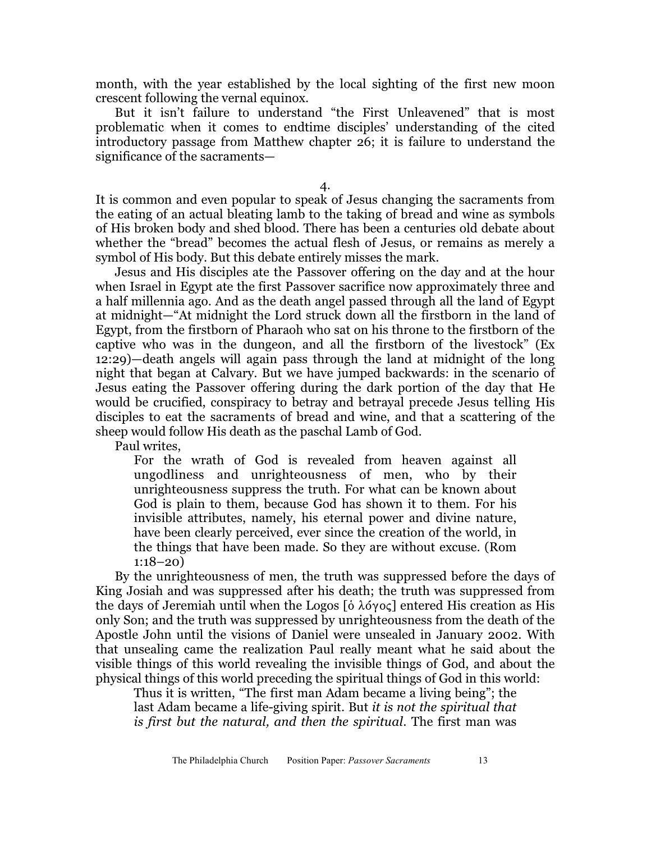month, with the year established by the local sighting of the first new moon crescent following the vernal equinox.

But it isn't failure to understand "the First Unleavened" that is most problematic when it comes to endtime disciples' understanding of the cited introductory passage from Matthew chapter 26; it is failure to understand the significance of the sacraments—

4.

 whether the "bread" becomes the actual flesh of Jesus, or remains as merely a It is common and even popular to speak of Jesus changing the sacraments from the eating of an actual bleating lamb to the taking of bread and wine as symbols of His broken body and shed blood. There has been a centuries old debate about symbol of His body. But this debate entirely misses the mark.

 would be crucified, conspiracy to betray and betrayal precede Jesus telling His Jesus and His disciples ate the Passover offering on the day and at the hour when Israel in Egypt ate the first Passover sacrifice now approximately three and a half millennia ago. And as the death angel passed through all the land of Egypt at midnight—"At midnight the Lord struck down all the firstborn in the land of Egypt, from the firstborn of Pharaoh who sat on his throne to the firstborn of the captive who was in the dungeon, and all the firstborn of the livestock" (Ex 12:29)—death angels will again pass through the land at midnight of the long night that began at Calvary. But we have jumped backwards: in the scenario of Jesus eating the Passover offering during the dark portion of the day that He disciples to eat the sacraments of bread and wine, and that a scattering of the sheep would follow His death as the paschal Lamb of God.

Paul writes,

For the wrath of God is revealed from heaven against all ungodliness and unrighteousness of men, who by their unrighteousness suppress the truth. For what can be known about God is plain to them, because God has shown it to them. For his invisible attributes, namely, his eternal power and divine nature, have been clearly perceived, ever since the creation of the world, in the things that have been made. So they are without excuse. (Rom 1:18–20)

the days of Jeremiah until when the Logos [ $\delta \lambda$ ó $\gamma$ o $\varsigma$ ] entered His creation as His By the unrighteousness of men, the truth was suppressed before the days of King Josiah and was suppressed after his death; the truth was suppressed from only Son; and the truth was suppressed by unrighteousness from the death of the Apostle John until the visions of Daniel were unsealed in January 2002. With that unsealing came the realization Paul really meant what he said about the visible things of this world revealing the invisible things of God, and about the physical things of this world preceding the spiritual things of God in this world:

 Thus it is written, "The first man Adam became a living being"; the last Adam became a life-giving spirit. But *it is not the spiritual that is first but the natural, and then the spiritual*. The first man was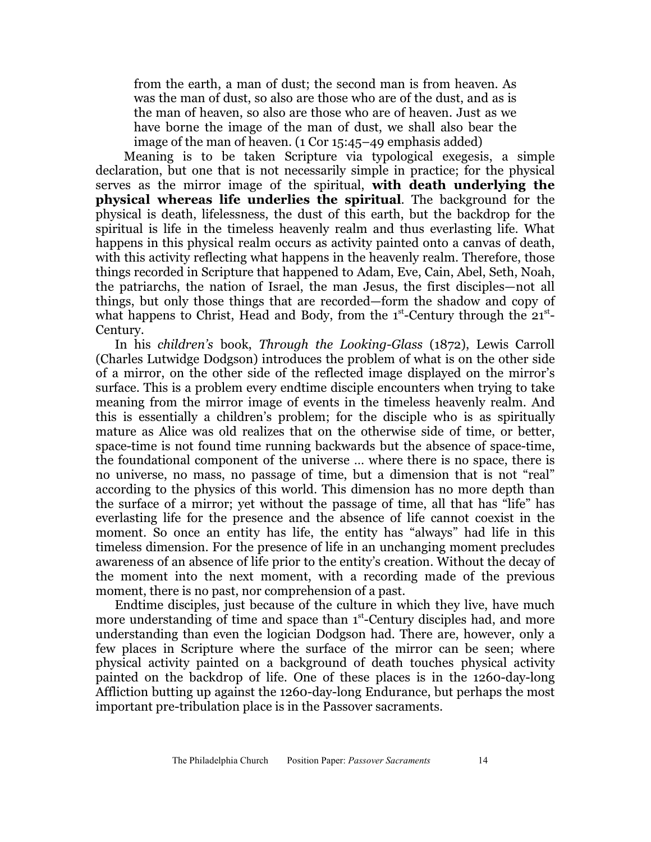the man of heaven, so also are those who are of heaven. Just as we from the earth, a man of dust; the second man is from heaven. As was the man of dust, so also are those who are of the dust, and as is have borne the image of the man of dust, we shall also bear the image of the man of heaven. (1 Cor 15:45–49 emphasis added)

 serves as the mirror image of the spiritual, **with death underlying the**  things recorded in Scripture that happened to Adam, Eve, Cain, Abel, Seth, Noah, the patriarchs, the nation of Israel, the man Jesus, the first disciples—not all things, but only those things that are recorded—form the shadow and copy of Meaning is to be taken Scripture via typological exegesis, a simple declaration, but one that is not necessarily simple in practice; for the physical **physical whereas life underlies the spiritual**. The background for the physical is death, lifelessness, the dust of this earth, but the backdrop for the spiritual is life in the timeless heavenly realm and thus everlasting life. What happens in this physical realm occurs as activity painted onto a canvas of death, with this activity reflecting what happens in the heavenly realm. Therefore, those what happens to Christ, Head and Body, from the  $1<sup>st</sup>$ -Century through the  $21<sup>st</sup>$ -Century.

 the foundational component of the universe … where there is no space, there is the surface of a mirror; yet without the passage of time, all that has "life" has In his *children's* book, *Through the Looking-Glass* (1872), Lewis Carroll (Charles Lutwidge Dodgson) introduces the problem of what is on the other side of a mirror, on the other side of the reflected image displayed on the mirror's surface. This is a problem every endtime disciple encounters when trying to take meaning from the mirror image of events in the timeless heavenly realm. And this is essentially a children's problem; for the disciple who is as spiritually mature as Alice was old realizes that on the otherwise side of time, or better, space-time is not found time running backwards but the absence of space-time, no universe, no mass, no passage of time, but a dimension that is not "real" according to the physics of this world. This dimension has no more depth than everlasting life for the presence and the absence of life cannot coexist in the moment. So once an entity has life, the entity has "always" had life in this timeless dimension. For the presence of life in an unchanging moment precludes awareness of an absence of life prior to the entity's creation. Without the decay of the moment into the next moment, with a recording made of the previous moment, there is no past, nor comprehension of a past.

Endtime disciples, just because of the culture in which they live, have much more understanding of time and space than  $1<sup>st</sup>$ -Century disciples had, and more understanding than even the logician Dodgson had. There are, however, only a few places in Scripture where the surface of the mirror can be seen; where physical activity painted on a background of death touches physical activity painted on the backdrop of life. One of these places is in the 1260-day-long Affliction butting up against the 1260-day-long Endurance, but perhaps the most important pre-tribulation place is in the Passover sacraments.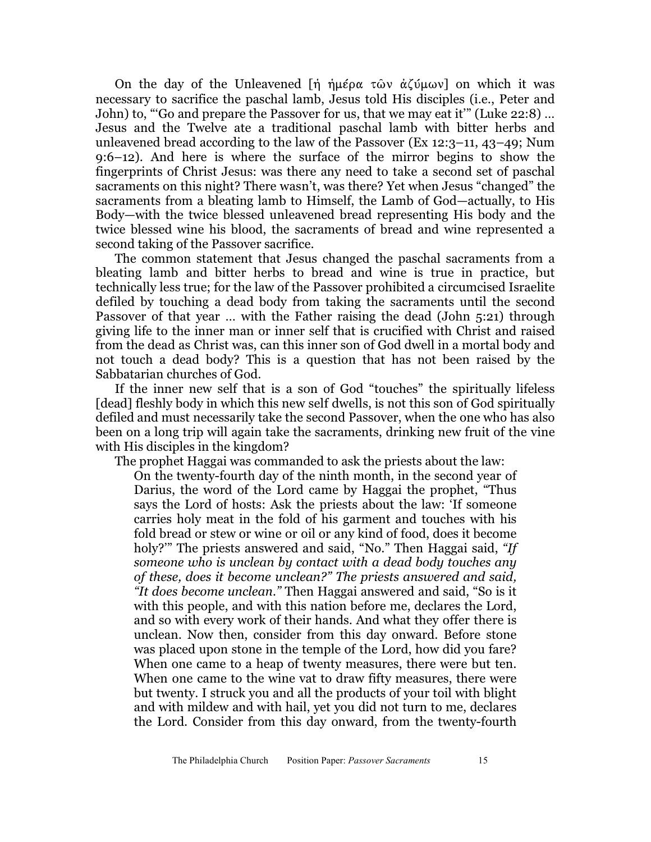On the day of the Unleavened [ $\dot{\eta}$   $\dot{\eta}$ μέρα τῶν ἀζύμων] on which it was necessary to sacrifice the paschal lamb, Jesus told His disciples (i.e., Peter and John) to, "'Go and prepare the Passover for us, that we may eat it'" (Luke 22:8) … Jesus and the Twelve ate a traditional paschal lamb with bitter herbs and unleavened bread according to the law of the Passover (Ex 12:3–11, 43–49; Num 9:6–12). And here is where the surface of the mirror begins to show the fingerprints of Christ Jesus: was there any need to take a second set of paschal sacraments on this night? There wasn't, was there? Yet when Jesus "changed" the sacraments from a bleating lamb to Himself, the Lamb of God—actually, to His Body—with the twice blessed unleavened bread representing His body and the twice blessed wine his blood, the sacraments of bread and wine represented a second taking of the Passover sacrifice.

 bleating lamb and bitter herbs to bread and wine is true in practice, but The common statement that Jesus changed the paschal sacraments from a technically less true; for the law of the Passover prohibited a circumcised Israelite defiled by touching a dead body from taking the sacraments until the second Passover of that year … with the Father raising the dead (John 5:21) through giving life to the inner man or inner self that is crucified with Christ and raised from the dead as Christ was, can this inner son of God dwell in a mortal body and not touch a dead body? This is a question that has not been raised by the Sabbatarian churches of God.

 been on a long trip will again take the sacraments, drinking new fruit of the vine If the inner new self that is a son of God "touches" the spiritually lifeless [dead] fleshly body in which this new self dwells, is not this son of God spiritually defiled and must necessarily take the second Passover, when the one who has also with His disciples in the kingdom?

The prophet Haggai was commanded to ask the priests about the law:

 On the twenty-fourth day of the ninth month, in the second year of says the Lord of hosts: Ask the priests about the law: 'If someone Darius, the word of the Lord came by Haggai the prophet, "Thus carries holy meat in the fold of his garment and touches with his fold bread or stew or wine or oil or any kind of food, does it become holy?'" The priests answered and said, "No." Then Haggai said, *"If someone who is unclean by contact with a dead body touches any of these, does it become unclean?" The priests answered and said, "It does become unclean."* Then Haggai answered and said, "So is it with this people, and with this nation before me, declares the Lord, and so with every work of their hands. And what they offer there is unclean. Now then, consider from this day onward. Before stone was placed upon stone in the temple of the Lord, how did you fare? When one came to a heap of twenty measures, there were but ten. When one came to the wine vat to draw fifty measures, there were but twenty. I struck you and all the products of your toil with blight and with mildew and with hail, yet you did not turn to me, declares the Lord. Consider from this day onward, from the twenty-fourth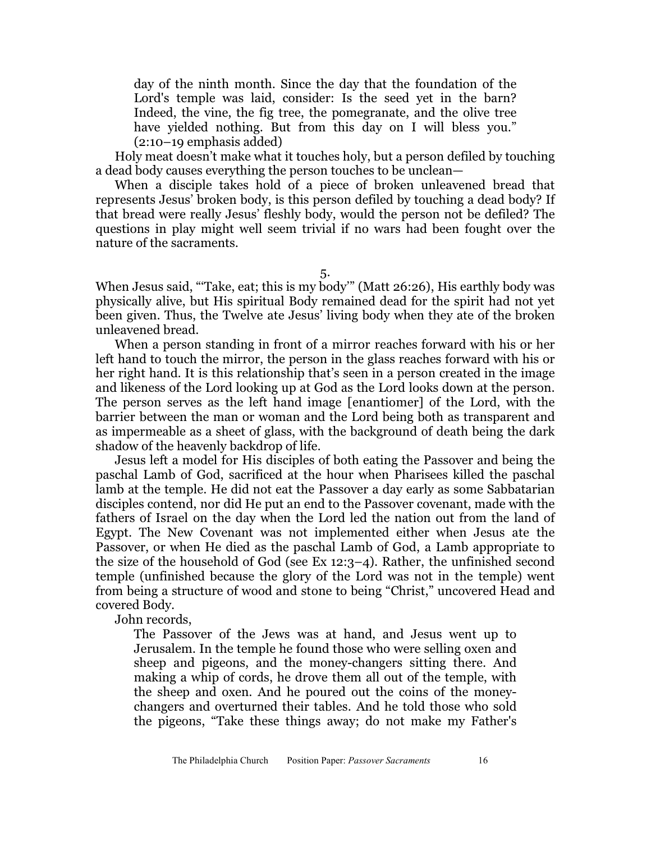day of the ninth month. Since the day that the foundation of the Lord's temple was laid, consider: Is the seed yet in the barn? Indeed, the vine, the fig tree, the pomegranate, and the olive tree have yielded nothing. But from this day on I will bless you." (2:10–19 emphasis added)

Holy meat doesn't make what it touches holy, but a person defiled by touching a dead body causes everything the person touches to be unclean—

When a disciple takes hold of a piece of broken unleavened bread that represents Jesus' broken body, is this person defiled by touching a dead body? If that bread were really Jesus' fleshly body, would the person not be defiled? The questions in play might well seem trivial if no wars had been fought over the nature of the sacraments.

5.

When Jesus said, "'Take, eat; this is my body'" (Matt 26:26), His earthly body was physically alive, but His spiritual Body remained dead for the spirit had not yet been given. Thus, the Twelve ate Jesus' living body when they ate of the broken unleavened bread.

When a person standing in front of a mirror reaches forward with his or her left hand to touch the mirror, the person in the glass reaches forward with his or her right hand. It is this relationship that's seen in a person created in the image and likeness of the Lord looking up at God as the Lord looks down at the person. The person serves as the left hand image [enantiomer] of the Lord, with the barrier between the man or woman and the Lord being both as transparent and as impermeable as a sheet of glass, with the background of death being the dark shadow of the heavenly backdrop of life.

 disciples contend, nor did He put an end to the Passover covenant, made with the fathers of Israel on the day when the Lord led the nation out from the land of Egypt. The New Covenant was not implemented either when Jesus ate the the size of the household of God (see Ex 12:3–4). Rather, the unfinished second temple (unfinished because the glory of the Lord was not in the temple) went Jesus left a model for His disciples of both eating the Passover and being the paschal Lamb of God, sacrificed at the hour when Pharisees killed the paschal lamb at the temple. He did not eat the Passover a day early as some Sabbatarian Passover, or when He died as the paschal Lamb of God, a Lamb appropriate to from being a structure of wood and stone to being "Christ," uncovered Head and covered Body.

John records,

 Jerusalem. In the temple he found those who were selling oxen and The Passover of the Jews was at hand, and Jesus went up to sheep and pigeons, and the money-changers sitting there. And making a whip of cords, he drove them all out of the temple, with the sheep and oxen. And he poured out the coins of the moneychangers and overturned their tables. And he told those who sold the pigeons, "Take these things away; do not make my Father's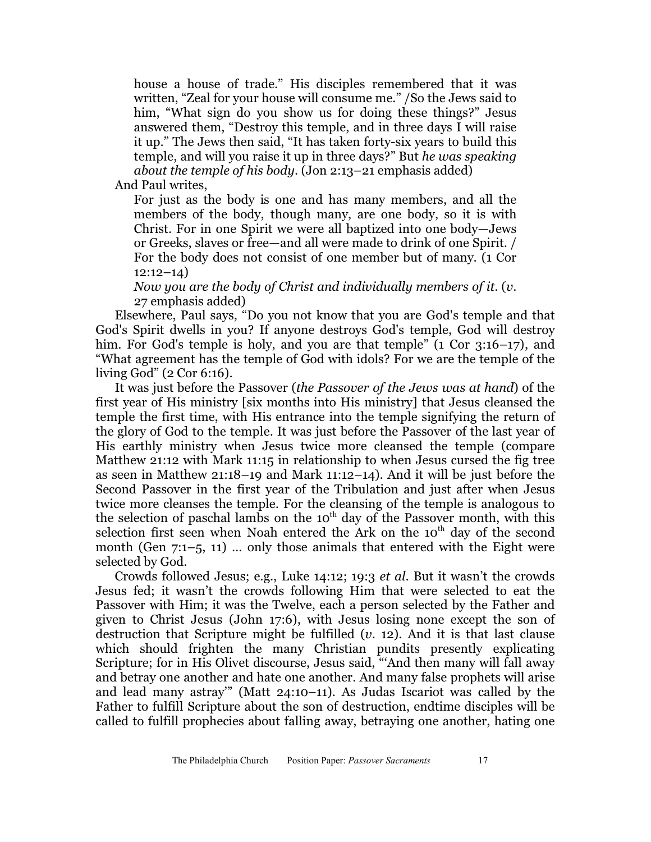house a house of trade." His disciples remembered that it was written, "Zeal for your house will consume me." /So the Jews said to him, "What sign do you show us for doing these things?" Jesus answered them, "Destroy this temple, and in three days I will raise it up." The Jews then said, "It has taken forty-six years to build this temple, and will you raise it up in three days?" But *he was speaking about the temple of his body*. (Jon 2:13–21 emphasis added)

And Paul writes,

For just as the body is one and has many members, and all the members of the body, though many, are one body, so it is with Christ. For in one Spirit we were all baptized into one body—Jews or Greeks, slaves or free—and all were made to drink of one Spirit. / For the body does not consist of one member but of many. (1 Cor 12:12–14)

*Now you are the body of Christ and individually members of it*. (*v*. 27 emphasis added)

Elsewhere, Paul says, "Do you not know that you are God's temple and that God's Spirit dwells in you? If anyone destroys God's temple, God will destroy him. For God's temple is holy, and you are that temple" (1 Cor 3:16–17), and "What agreement has the temple of God with idols? For we are the temple of the living God" (2 Cor 6:16).

 It was just before the Passover (*the Passover of the Jews was at hand*) of the twice more cleanses the temple. For the cleansing of the temple is analogous to first year of His ministry [six months into His ministry] that Jesus cleansed the temple the first time, with His entrance into the temple signifying the return of the glory of God to the temple. It was just before the Passover of the last year of His earthly ministry when Jesus twice more cleansed the temple (compare Matthew 21:12 with Mark 11:15 in relationship to when Jesus cursed the fig tree as seen in Matthew 21:18–19 and Mark 11:12–14). And it will be just before the Second Passover in the first year of the Tribulation and just after when Jesus the selection of paschal lambs on the  $10<sup>th</sup>$  day of the Passover month, with this selection first seen when Noah entered the Ark on the  $10<sup>th</sup>$  day of the second month (Gen  $7:1-5$ , 11) ... only those animals that entered with the Eight were selected by God.

 Scripture; for in His Olivet discourse, Jesus said, "'And then many will fall away and betray one another and hate one another. And many false prophets will arise Crowds followed Jesus; e.g., Luke 14:12; 19:3 *et al*. But it wasn't the crowds Jesus fed; it wasn't the crowds following Him that were selected to eat the Passover with Him; it was the Twelve, each a person selected by the Father and given to Christ Jesus (John 17:6), with Jesus losing none except the son of destruction that Scripture might be fulfilled (*v*. 12). And it is that last clause which should frighten the many Christian pundits presently explicating and lead many astray'" (Matt 24:10–11). As Judas Iscariot was called by the Father to fulfill Scripture about the son of destruction, endtime disciples will be called to fulfill prophecies about falling away, betraying one another, hating one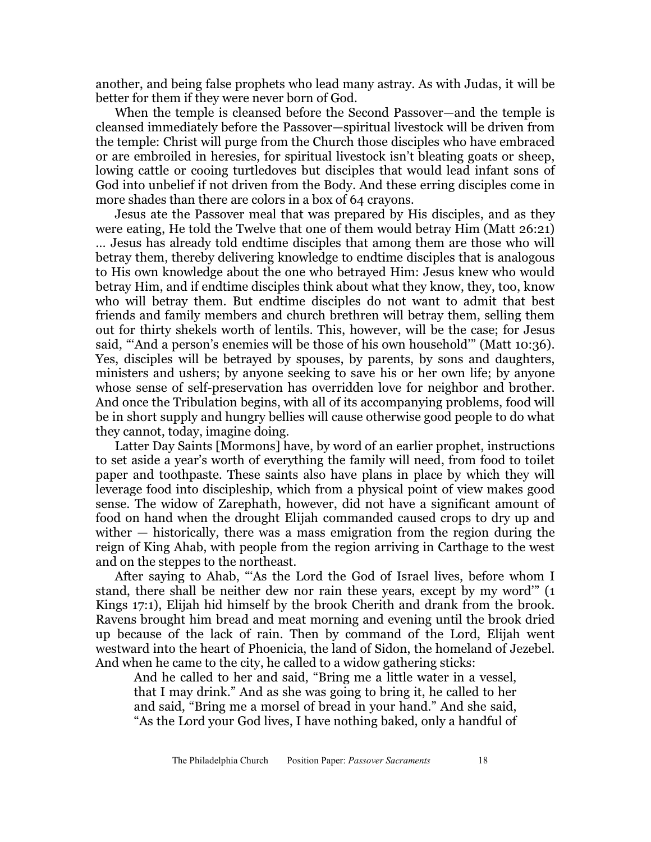another, and being false prophets who lead many astray. As with Judas, it will be better for them if they were never born of God.

 or are embroiled in heresies, for spiritual livestock isn't bleating goats or sheep, When the temple is cleansed before the Second Passover—and the temple is cleansed immediately before the Passover—spiritual livestock will be driven from the temple: Christ will purge from the Church those disciples who have embraced lowing cattle or cooing turtledoves but disciples that would lead infant sons of God into unbelief if not driven from the Body. And these erring disciples come in more shades than there are colors in a box of 64 crayons.

 … Jesus has already told endtime disciples that among them are those who will Jesus ate the Passover meal that was prepared by His disciples, and as they were eating, He told the Twelve that one of them would betray Him (Matt 26:21) betray them, thereby delivering knowledge to endtime disciples that is analogous to His own knowledge about the one who betrayed Him: Jesus knew who would betray Him, and if endtime disciples think about what they know, they, too, know who will betray them. But endtime disciples do not want to admit that best friends and family members and church brethren will betray them, selling them out for thirty shekels worth of lentils. This, however, will be the case; for Jesus said, "'And a person's enemies will be those of his own household'" (Matt 10:36). Yes, disciples will be betrayed by spouses, by parents, by sons and daughters, ministers and ushers; by anyone seeking to save his or her own life; by anyone whose sense of self-preservation has overridden love for neighbor and brother. And once the Tribulation begins, with all of its accompanying problems, food will be in short supply and hungry bellies will cause otherwise good people to do what they cannot, today, imagine doing.

 food on hand when the drought Elijah commanded caused crops to dry up and Latter Day Saints [Mormons] have, by word of an earlier prophet, instructions to set aside a year's worth of everything the family will need, from food to toilet paper and toothpaste. These saints also have plans in place by which they will leverage food into discipleship, which from a physical point of view makes good sense. The widow of Zarephath, however, did not have a significant amount of wither — historically, there was a mass emigration from the region during the reign of King Ahab, with people from the region arriving in Carthage to the west and on the steppes to the northeast.

 Kings 17:1), Elijah hid himself by the brook Cherith and drank from the brook. up because of the lack of rain. Then by command of the Lord, Elijah went After saying to Ahab, "'As the Lord the God of Israel lives, before whom I stand, there shall be neither dew nor rain these years, except by my word'" (1 Ravens brought him bread and meat morning and evening until the brook dried westward into the heart of Phoenicia, the land of Sidon, the homeland of Jezebel. And when he came to the city, he called to a widow gathering sticks:

And he called to her and said, "Bring me a little water in a vessel, that I may drink." And as she was going to bring it, he called to her and said, "Bring me a morsel of bread in your hand." And she said, "As the Lord your God lives, I have nothing baked, only a handful of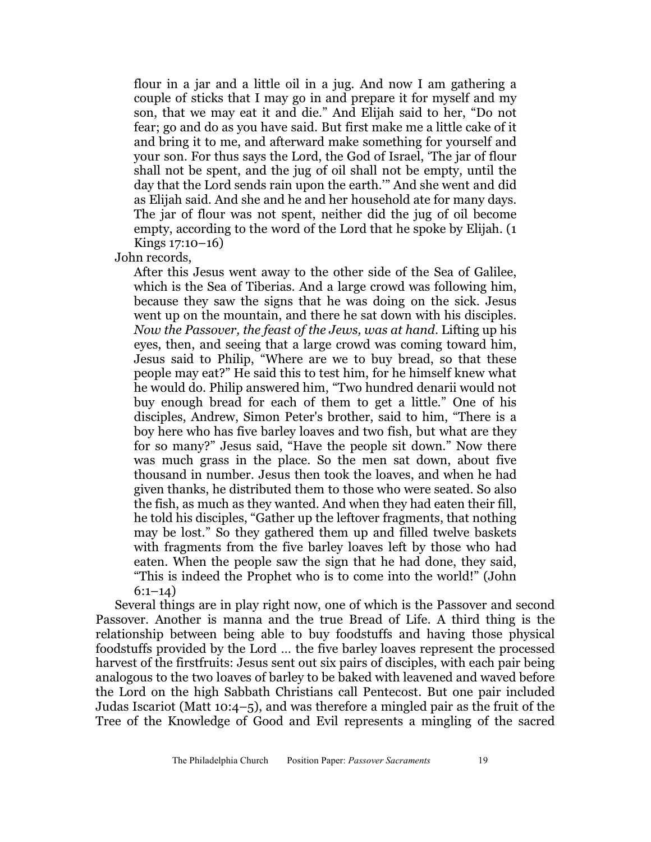fear; go and do as you have said. But first make me a little cake of it day that the Lord sends rain upon the earth.'" And she went and did flour in a jar and a little oil in a jug. And now I am gathering a couple of sticks that I may go in and prepare it for myself and my son, that we may eat it and die." And Elijah said to her, "Do not and bring it to me, and afterward make something for yourself and your son. For thus says the Lord, the God of Israel, 'The jar of flour shall not be spent, and the jug of oil shall not be empty, until the as Elijah said. And she and he and her household ate for many days. The jar of flour was not spent, neither did the jug of oil become empty, according to the word of the Lord that he spoke by Elijah. (1 Kings 17:10–16)

John records,

 people may eat?" He said this to test him, for he himself knew what disciples, Andrew, Simon Peter's brother, said to him, "There is a boy here who has five barley loaves and two fish, but what are they given thanks, he distributed them to those who were seated. So also the fish, as much as they wanted. And when they had eaten their fill, After this Jesus went away to the other side of the Sea of Galilee, which is the Sea of Tiberias. And a large crowd was following him, because they saw the signs that he was doing on the sick. Jesus went up on the mountain, and there he sat down with his disciples. *Now the Passover, the feast of the Jews, was at hand*. Lifting up his eyes, then, and seeing that a large crowd was coming toward him, Jesus said to Philip, "Where are we to buy bread, so that these he would do. Philip answered him, "Two hundred denarii would not buy enough bread for each of them to get a little." One of his for so many?" Jesus said, "Have the people sit down." Now there was much grass in the place. So the men sat down, about five thousand in number. Jesus then took the loaves, and when he had he told his disciples, "Gather up the leftover fragments, that nothing may be lost." So they gathered them up and filled twelve baskets with fragments from the five barley loaves left by those who had eaten. When the people saw the sign that he had done, they said, "This is indeed the Prophet who is to come into the world!" (John  $6:1-14)$ 

 Passover. Another is manna and the true Bread of Life. A third thing is the analogous to the two loaves of barley to be baked with leavened and waved before Several things are in play right now, one of which is the Passover and second relationship between being able to buy foodstuffs and having those physical foodstuffs provided by the Lord … the five barley loaves represent the processed harvest of the firstfruits: Jesus sent out six pairs of disciples, with each pair being the Lord on the high Sabbath Christians call Pentecost. But one pair included Judas Iscariot (Matt 10:4–5), and was therefore a mingled pair as the fruit of the Tree of the Knowledge of Good and Evil represents a mingling of the sacred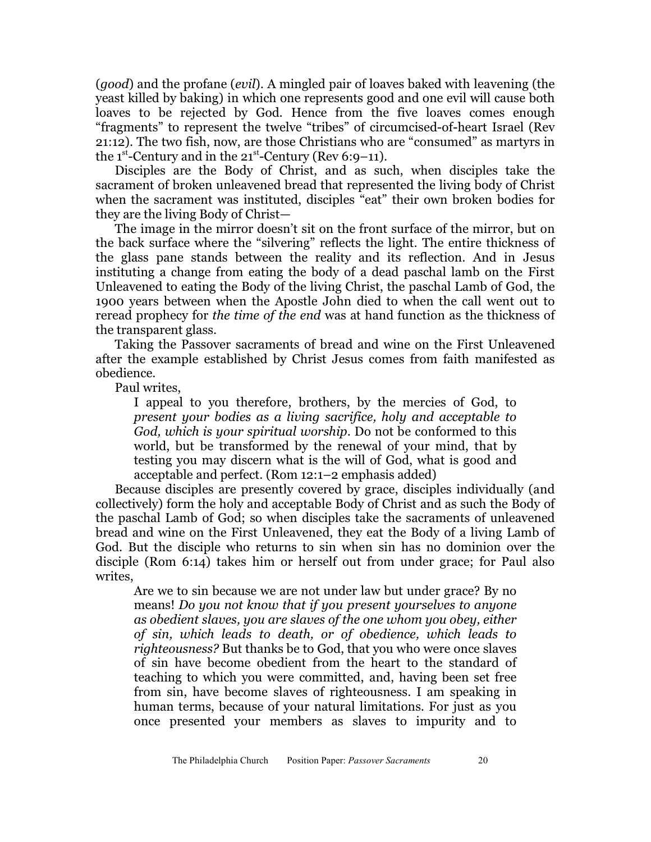(*good*) and the profane (*evil*). A mingled pair of loaves baked with leavening (the yeast killed by baking) in which one represents good and one evil will cause both loaves to be rejected by God. Hence from the five loaves comes enough "fragments" to represent the twelve "tribes" of circumcised-of-heart Israel (Rev 21:12). The two fish, now, are those Christians who are "consumed" as martyrs in the 1<sup>st</sup>-Century and in the 21<sup>st</sup>-Century (Rev 6:9–11).

Disciples are the Body of Christ, and as such, when disciples take the sacrament of broken unleavened bread that represented the living body of Christ when the sacrament was instituted, disciples "eat" their own broken bodies for they are the living Body of Christ—

 The image in the mirror doesn't sit on the front surface of the mirror, but on the glass pane stands between the reality and its reflection. And in Jesus the back surface where the "silvering" reflects the light. The entire thickness of instituting a change from eating the body of a dead paschal lamb on the First Unleavened to eating the Body of the living Christ, the paschal Lamb of God, the 1900 years between when the Apostle John died to when the call went out to reread prophecy for *the time of the end* was at hand function as the thickness of the transparent glass.

Taking the Passover sacraments of bread and wine on the First Unleavened after the example established by Christ Jesus comes from faith manifested as obedience.

Paul writes,

 *present your bodies as a living sacrifice, holy and acceptable to*  I appeal to you therefore, brothers, by the mercies of God, to *God, which is your spiritual worship*. Do not be conformed to this world, but be transformed by the renewal of your mind, that by testing you may discern what is the will of God, what is good and acceptable and perfect. (Rom 12:1–2 emphasis added)

 Because disciples are presently covered by grace, disciples individually (and God. But the disciple who returns to sin when sin has no dominion over the collectively) form the holy and acceptable Body of Christ and as such the Body of the paschal Lamb of God; so when disciples take the sacraments of unleavened bread and wine on the First Unleavened, they eat the Body of a living Lamb of disciple (Rom 6:14) takes him or herself out from under grace; for Paul also writes,

Are we to sin because we are not under law but under grace? By no means! *Do you not know that if you present yourselves to anyone as obedient slaves, you are slaves of the one whom you obey, either of sin, which leads to death, or of obedience, which leads to righteousness?* But thanks be to God, that you who were once slaves of sin have become obedient from the heart to the standard of teaching to which you were committed, and, having been set free from sin, have become slaves of righteousness. I am speaking in human terms, because of your natural limitations. For just as you once presented your members as slaves to impurity and to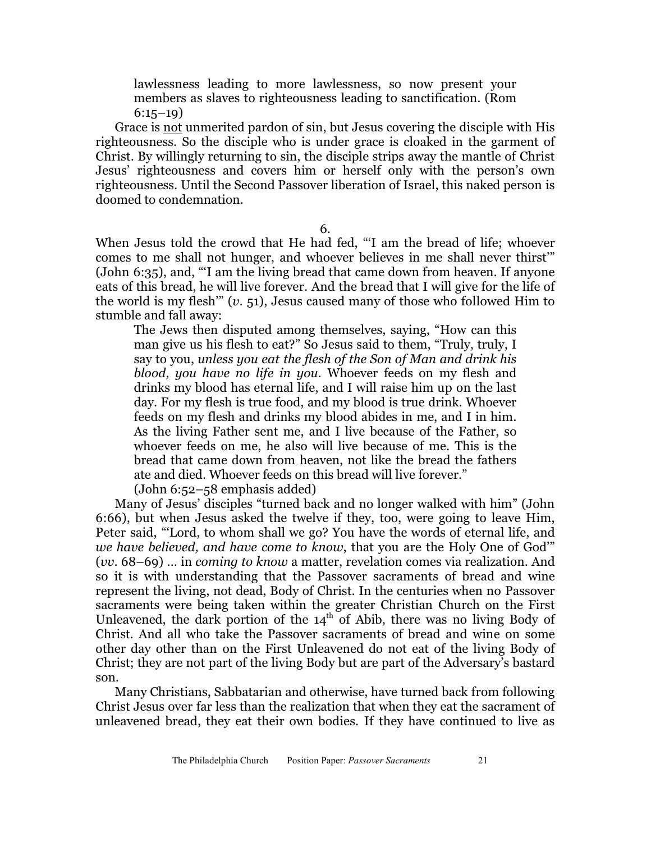lawlessness leading to more lawlessness, so now present your members as slaves to righteousness leading to sanctification. (Rom 6:15–19)

 Christ. By willingly returning to sin, the disciple strips away the mantle of Christ righteousness. Until the Second Passover liberation of Israel, this naked person is Grace is not unmerited pardon of sin, but Jesus covering the disciple with His righteousness. So the disciple who is under grace is cloaked in the garment of Jesus' righteousness and covers him or herself only with the person's own doomed to condemnation.

6.

 eats of this bread, he will live forever. And the bread that I will give for the life of When Jesus told the crowd that He had fed, "'I am the bread of life; whoever comes to me shall not hunger, and whoever believes in me shall never thirst'" (John 6:35), and, "'I am the living bread that came down from heaven. If anyone the world is my flesh'" (*v*. 51), Jesus caused many of those who followed Him to stumble and fall away:

The Jews then disputed among themselves, saying, "How can this man give us his flesh to eat?" So Jesus said to them, "Truly, truly, I say to you, *unless you eat the flesh of the Son of Man and drink his blood, you have no life in you.* Whoever feeds on my flesh and drinks my blood has eternal life, and I will raise him up on the last day. For my flesh is true food, and my blood is true drink. Whoever feeds on my flesh and drinks my blood abides in me, and I in him. As the living Father sent me, and I live because of the Father, so whoever feeds on me, he also will live because of me. This is the bread that came down from heaven, not like the bread the fathers ate and died. Whoever feeds on this bread will live forever." (John 6:52–58 emphasis added)

 6:66), but when Jesus asked the twelve if they, too, were going to leave Him, Peter said, "'Lord, to whom shall we go? You have the words of eternal life, and Many of Jesus' disciples "turned back and no longer walked with him" (John *we have believed, and have come to know*, that you are the Holy One of God'" (*vv*. 68–69) … in *coming to know* a matter, revelation comes via realization. And so it is with understanding that the Passover sacraments of bread and wine represent the living, not dead, Body of Christ. In the centuries when no Passover sacraments were being taken within the greater Christian Church on the First Unleavened, the dark portion of the  $14<sup>th</sup>$  of Abib, there was no living Body of Christ. And all who take the Passover sacraments of bread and wine on some other day other than on the First Unleavened do not eat of the living Body of Christ; they are not part of the living Body but are part of the Adversary's bastard son.

 unleavened bread, they eat their own bodies. If they have continued to live as Many Christians, Sabbatarian and otherwise, have turned back from following Christ Jesus over far less than the realization that when they eat the sacrament of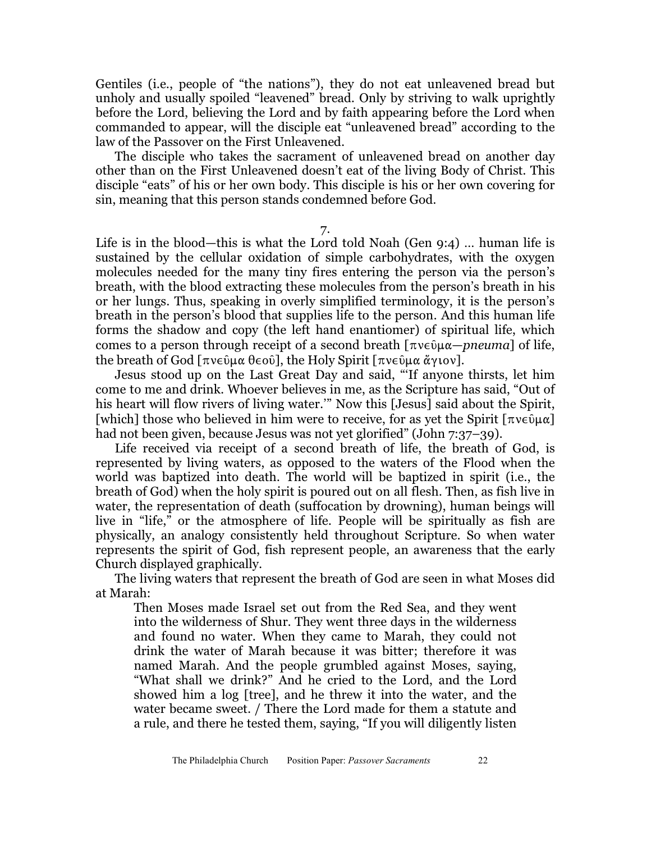before the Lord, believing the Lord and by faith appearing before the Lord when Gentiles (i.e., people of "the nations"), they do not eat unleavened bread but unholy and usually spoiled "leavened" bread. Only by striving to walk uprightly commanded to appear, will the disciple eat "unleavened bread" according to the law of the Passover on the First Unleavened.

The disciple who takes the sacrament of unleavened bread on another day other than on the First Unleavened doesn't eat of the living Body of Christ. This disciple "eats" of his or her own body. This disciple is his or her own covering for sin, meaning that this person stands condemned before God.

7.

 molecules needed for the many tiny fires entering the person via the person's or her lungs. Thus, speaking in overly simplified terminology, it is the person's Life is in the blood—this is what the Lord told Noah (Gen 9:4) … human life is sustained by the cellular oxidation of simple carbohydrates, with the oxygen breath, with the blood extracting these molecules from the person's breath in his breath in the person's blood that supplies life to the person. And this human life forms the shadow and copy (the left hand enantiomer) of spiritual life, which comes to a person through receipt of a second breath  $[\pi v \in \hat{\mu} \times \hat{\mu}]$  of life, the breath of God  $[\pi v \epsilon \hat{v} \mu \alpha \theta \epsilon \hat{v} \nu]$ , the Holy Spirit  $[\pi v \epsilon \hat{v} \mu \alpha \alpha \alpha v \nu]$ .

Jesus stood up on the Last Great Day and said, "'If anyone thirsts, let him come to me and drink. Whoever believes in me, as the Scripture has said, "Out of his heart will flow rivers of living water." Now this [Jesus] said about the Spirit, [which] those who believed in him were to receive, for as yet the Spirit  $[\pi v \epsilon \hat{\omega} \mu \alpha]$ had not been given, because Jesus was not yet glorified" (John 7:37–39).

 Life received via receipt of a second breath of life, the breath of God, is breath of God) when the holy spirit is poured out on all flesh. Then, as fish live in represented by living waters, as opposed to the waters of the Flood when the world was baptized into death. The world will be baptized in spirit (i.e., the water, the representation of death (suffocation by drowning), human beings will live in "life," or the atmosphere of life. People will be spiritually as fish are physically, an analogy consistently held throughout Scripture. So when water represents the spirit of God, fish represent people, an awareness that the early Church displayed graphically.

The living waters that represent the breath of God are seen in what Moses did at Marah:

 Then Moses made Israel set out from the Red Sea, and they went into the wilderness of Shur. They went three days in the wilderness and found no water. When they came to Marah, they could not drink the water of Marah because it was bitter; therefore it was named Marah. And the people grumbled against Moses, saying, "What shall we drink?" And he cried to the Lord, and the Lord showed him a log [tree], and he threw it into the water, and the water became sweet. / There the Lord made for them a statute and a rule, and there he tested them, saying, "If you will diligently listen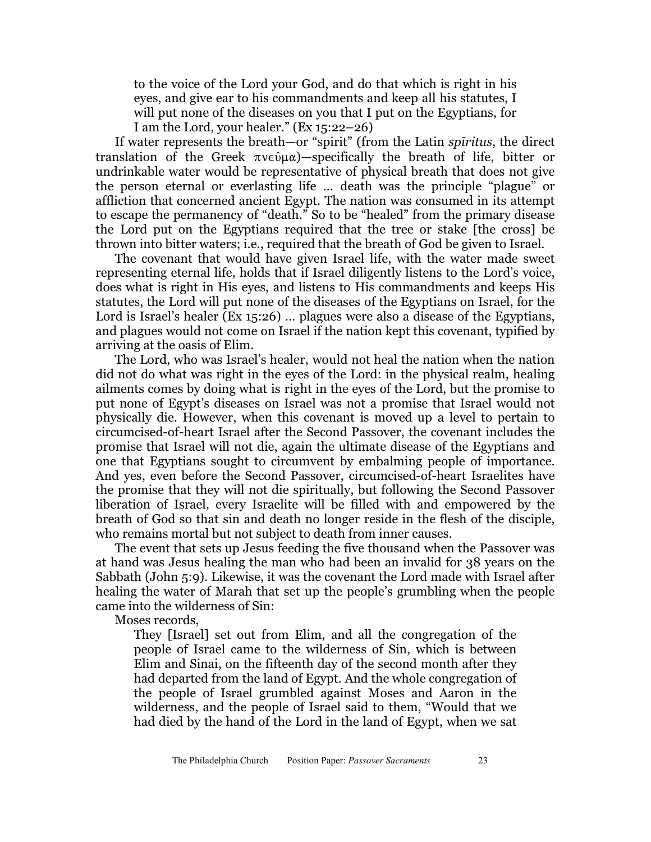to the voice of the Lord your God, and do that which is right in his eyes, and give ear to his commandments and keep all his statutes, I will put none of the diseases on you that I put on the Egyptians, for I am the Lord, your healer." (Ex 15:22–26)

 to escape the permanency of "death." So to be "healed" from the primary disease If water represents the breath—or "spirit" (from the Latin *spîritus*, the direct translation of the Greek  $\pi v \in \hat{\mathfrak{g}}(\mu\alpha)$ —specifically the breath of life, bitter or undrinkable water would be representative of physical breath that does not give the person eternal or everlasting life … death was the principle "plague" or affliction that concerned ancient Egypt. The nation was consumed in its attempt the Lord put on the Egyptians required that the tree or stake [the cross] be thrown into bitter waters; i.e., required that the breath of God be given to Israel.

The covenant that would have given Israel life, with the water made sweet representing eternal life, holds that if Israel diligently listens to the Lord's voice, does what is right in His eyes, and listens to His commandments and keeps His statutes, the Lord will put none of the diseases of the Egyptians on Israel, for the Lord is Israel's healer (Ex 15:26) ... plagues were also a disease of the Egyptians, and plagues would not come on Israel if the nation kept this covenant, typified by arriving at the oasis of Elim.

 promise that Israel will not die, again the ultimate disease of the Egyptians and The Lord, who was Israel's healer, would not heal the nation when the nation did not do what was right in the eyes of the Lord: in the physical realm, healing ailments comes by doing what is right in the eyes of the Lord, but the promise to put none of Egypt's diseases on Israel was not a promise that Israel would not physically die. However, when this covenant is moved up a level to pertain to circumcised-of-heart Israel after the Second Passover, the covenant includes the one that Egyptians sought to circumvent by embalming people of importance. And yes, even before the Second Passover, circumcised-of-heart Israelites have the promise that they will not die spiritually, but following the Second Passover liberation of Israel, every Israelite will be filled with and empowered by the breath of God so that sin and death no longer reside in the flesh of the disciple, who remains mortal but not subject to death from inner causes.

 healing the water of Marah that set up the people's grumbling when the people The event that sets up Jesus feeding the five thousand when the Passover was at hand was Jesus healing the man who had been an invalid for 38 years on the Sabbath (John 5:9). Likewise, it was the covenant the Lord made with Israel after came into the wilderness of Sin:

Moses records,

 had departed from the land of Egypt. And the whole congregation of They [Israel] set out from Elim, and all the congregation of the people of Israel came to the wilderness of Sin, which is between Elim and Sinai, on the fifteenth day of the second month after they the people of Israel grumbled against Moses and Aaron in the wilderness, and the people of Israel said to them, "Would that we had died by the hand of the Lord in the land of Egypt, when we sat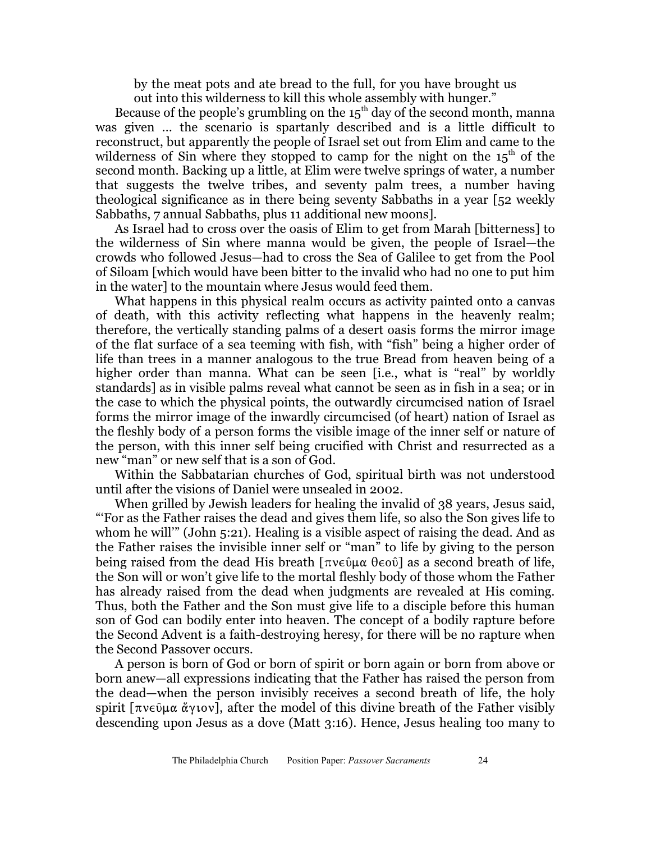by the meat pots and ate bread to the full, for you have brought us out into this wilderness to kill this whole assembly with hunger."

Because of the people's grumbling on the  $15<sup>th</sup>$  day of the second month, manna was given … the scenario is spartanly described and is a little difficult to reconstruct, but apparently the people of Israel set out from Elim and came to the wilderness of Sin where they stopped to camp for the night on the  $15<sup>th</sup>$  of the second month. Backing up a little, at Elim were twelve springs of water, a number that suggests the twelve tribes, and seventy palm trees, a number having theological significance as in there being seventy Sabbaths in a year [52 weekly Sabbaths, 7 annual Sabbaths, plus 11 additional new moons].

 crowds who followed Jesus—had to cross the Sea of Galilee to get from the Pool As Israel had to cross over the oasis of Elim to get from Marah [bitterness] to the wilderness of Sin where manna would be given, the people of Israel—the of Siloam [which would have been bitter to the invalid who had no one to put him in the water] to the mountain where Jesus would feed them.

 What happens in this physical realm occurs as activity painted onto a canvas of death, with this activity reflecting what happens in the heavenly realm; therefore, the vertically standing palms of a desert oasis forms the mirror image of the flat surface of a sea teeming with fish, with "fish" being a higher order of life than trees in a manner analogous to the true Bread from heaven being of a higher order than manna. What can be seen [i.e., what is "real" by worldly standards] as in visible palms reveal what cannot be seen as in fish in a sea; or in the case to which the physical points, the outwardly circumcised nation of Israel forms the mirror image of the inwardly circumcised (of heart) nation of Israel as the fleshly body of a person forms the visible image of the inner self or nature of the person, with this inner self being crucified with Christ and resurrected as a new "man" or new self that is a son of God.

Within the Sabbatarian churches of God, spiritual birth was not understood until after the visions of Daniel were unsealed in 2002.

 the Second Advent is a faith-destroying heresy, for there will be no rapture when When grilled by Jewish leaders for healing the invalid of 38 years, Jesus said, "'For as the Father raises the dead and gives them life, so also the Son gives life to whom he will" (John 5:21). Healing is a visible aspect of raising the dead. And as the Father raises the invisible inner self or "man" to life by giving to the person being raised from the dead His breath  $[\pi v \in \hat{\mathfrak{g}}]$  as a second breath of life, the Son will or won't give life to the mortal fleshly body of those whom the Father has already raised from the dead when judgments are revealed at His coming. Thus, both the Father and the Son must give life to a disciple before this human son of God can bodily enter into heaven. The concept of a bodily rapture before the Second Passover occurs.

 A person is born of God or born of spirit or born again or born from above or born anew—all expressions indicating that the Father has raised the person from the dead—when the person invisibly receives a second breath of life, the holy spirit  $[\pi v \in \hat{\omega} \mu \alpha \ \alpha v]$ , after the model of this divine breath of the Father visibly descending upon Jesus as a dove (Matt 3:16). Hence, Jesus healing too many to